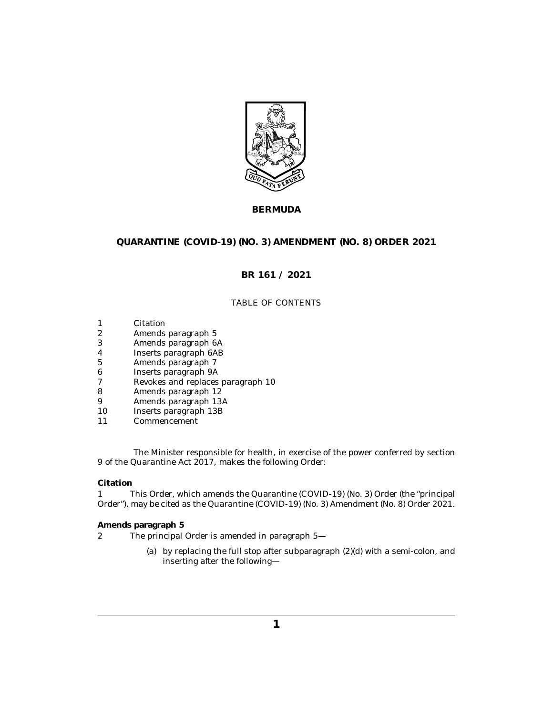

## **BERMUDA**

## **QUARANTINE (COVID-19) (NO. 3) AMENDMENT (NO. 8) ORDER 2021**

## **BR 161 / 2021**

### TABLE OF CONTENTS

- Citation 1
- Amends paragraph 5 2
- [Amends paragraph 6A](#page-1-0) 3
- [Inserts paragraph 6AB](#page-1-0) 4
- [Amends paragraph 7](#page-2-0) 5
- [Inserts paragraph 9A](#page-2-0) 6
- [Revokes and replaces paragraph 10](#page-2-0) 7
- [Amends paragraph 12](#page-2-0) 8
- [Amends paragraph 13A](#page-3-0) 9
- [Inserts paragraph 13B](#page-3-0) 10
- [Commencement](#page-3-0) 11

The Minister responsible for health, in exercise of the power conferred by section 9 of the Quarantine Act 2017, makes the following Order:

#### **Citation**

This Order, which amends the Quarantine (COVID-19) (No. 3) Order (the "principal Order"), may be cited as the Quarantine (COVID-19) (No. 3) Amendment (No. 8) Order 2021. 1

**Amends paragraph 5**

- The principal Order is amended in paragraph 5— 2
	- (a) by replacing the full stop after subparagraph  $(2)(d)$  with a semi-colon, and inserting after the following—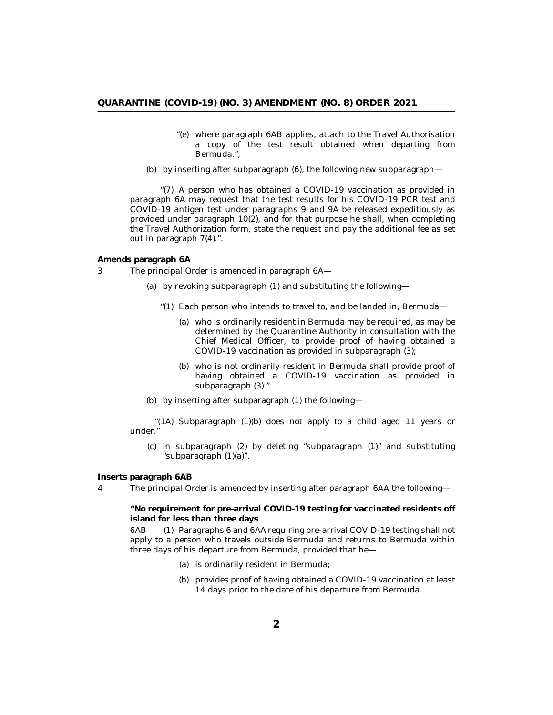- <span id="page-1-0"></span>"(e) where paragraph 6AB applies, attach to the Travel Authorisation a copy of the test result obtained when departing from Bermuda.";
- by inserting after subparagraph (6), the following new subparagraph— (b)

"(7) A person who has obtained a COVID-19 vaccination as provided in paragraph 6A may request that the test results for his COVID-19 PCR test and COVID-19 antigen test under paragraphs 9 and 9A be released expeditiously as provided under paragraph 10(2), and for that purpose he shall, when completing the Travel Authorization form, state the request and pay the additional fee as set out in paragraph 7(4).".

**Amends paragraph 6A**

The principal Order is amended in paragraph 6A— 3

- by revoking subparagraph (1) and substituting the following— (a)
	- "(1) Each person who intends to travel to, and be landed in, Bermuda
		- who is ordinarily resident in Bermuda may be required, as may be (a) determined by the Quarantine Authority in consultation with the Chief Medical Officer, to provide proof of having obtained a COVID-19 vaccination as provided in subparagraph (3);
		- who is not ordinarily resident in Bermuda shall provide proof of (b) having obtained a COVID-19 vaccination as provided in subparagraph (3).".
- by inserting after subparagraph (1) the following— (b)

"(1A) Subparagraph  $(1)(b)$  does not apply to a child aged 11 years or under."

 $(c)$  in subparagraph  $(2)$  by deleting "subparagraph  $(1)$ " and substituting "subparagraph (1)(a)".

**Inserts paragraph 6AB**

The principal Order is amended by inserting after paragraph 6AA the following— 4

**"No requirement for pre-arrival COVID-19 testing for vaccinated residents off island for less than three days**

Paragraphs 6 and 6AA requiring pre-arrival COVID-19 testing shall not apply to a person who travels outside Bermuda and returns to Bermuda within three days of his departure from Bermuda, provided that he— 6AB

- (a) is ordinarily resident in Bermuda;
- (b) provides proof of having obtained a COVID-19 vaccination at least 14 days prior to the date of his departure from Bermuda.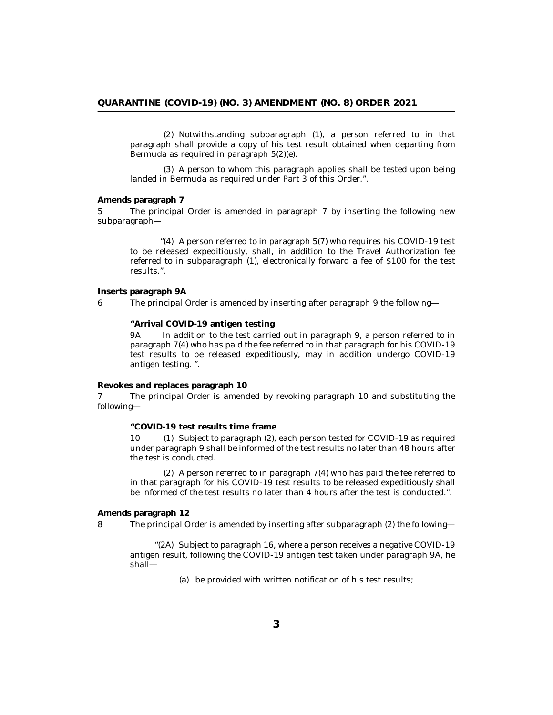<span id="page-2-0"></span>(2) Notwithstanding subparagraph (1), a person referred to in that paragraph shall provide a copy of his test result obtained when departing from Bermuda as required in paragraph 5(2)(e).

(3) A person to whom this paragraph applies shall be tested upon being landed in Bermuda as required under Part 3 of this Order.".

**Amends paragraph 7**

The principal Order is amended in paragraph 7 by inserting the following new subparagraph— 5

" $(4)$  A person referred to in paragraph 5 $(7)$  who requires his COVID-19 test to be released expeditiously, shall, in addition to the Travel Authorization fee referred to in subparagraph (1), electronically forward a fee of \$100 for the test results.".

**Inserts paragraph 9A**

6

The principal Order is amended by inserting after paragraph 9 the following—

**"Arrival COVID-19 antigen testing**

In addition to the test carried out in paragraph 9, a person referred to in paragraph 7(4) who has paid the fee referred to in that paragraph for his COVID-19 test results to be released expeditiously, may in addition undergo COVID-19 antigen testing. ". 9A

**Revokes and replaces paragraph 10**

The principal Order is amended by revoking paragraph 10 and substituting the following— 7

**"COVID-19 test results time frame**

10 (1) Subject to paragraph (2), each person tested for COVID-19 as required under paragraph 9 shall be informed of the test results no later than 48 hours after the test is conducted.

 $(2)$  A person referred to in paragraph  $7(4)$  who has paid the fee referred to in that paragraph for his COVID-19 test results to be released expeditiously shall be informed of the test results no later than 4 hours after the test is conducted.".

**Amends paragraph 12**

The principal Order is amended by inserting after subparagraph (2) the following— 8

> " $(2A)$  Subject to paragraph 16, where a person receives a negative COVID-19 antigen result, following the COVID-19 antigen test taken under paragraph 9A, he shall—

> > (a) be provided with written notification of his test results;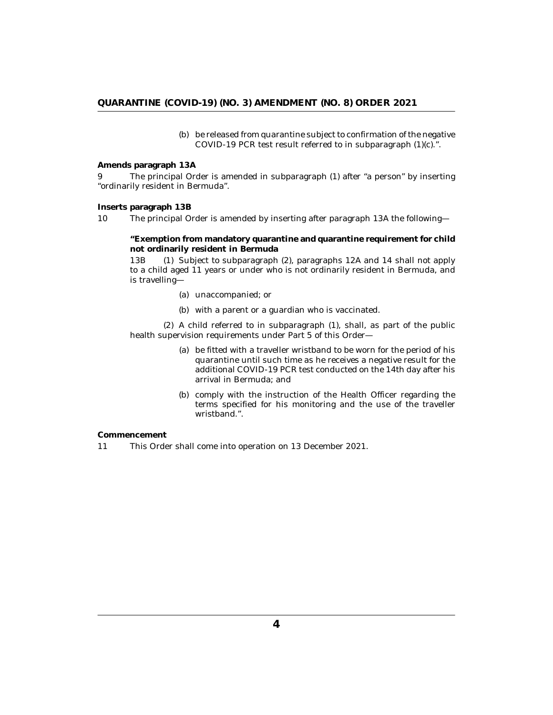(b) be released from quarantine subject to confirmation of the negative COVID-19 PCR test result referred to in subparagraph (1)(c).".

<span id="page-3-0"></span>**Amends paragraph 13A**

The principal Order is amended in subparagraph (1) after "a person" by inserting "ordinarily resident in Bermuda". 9

#### **Inserts paragraph 13B**

The principal Order is amended by inserting after paragraph 13A the following— 10

**"Exemption from mandatory quarantine and quarantine requirement for child not ordinarily resident in Bermuda**

(1) Subject to subparagraph (2), paragraphs 12A and 14 shall not apply to a child aged 11 years or under who is not ordinarily resident in Bermuda, and is travelling— 13**B** 

- (a) unaccompanied; or
- (b) with a parent or a guardian who is vaccinated.

(2) A child referred to in subparagraph (1), shall, as part of the public health supervision requirements under Part 5 of this Order—

- (a) be fitted with a traveller wristband to be worn for the period of his quarantine until such time as he receives a negative result for the additional COVID-19 PCR test conducted on the 14th day after his arrival in Bermuda; and
- (b) comply with the instruction of the Health Officer regarding the terms specified for his monitoring and the use of the traveller wristband.".

**Commencement**

This Order shall come into operation on 13 December 2021. 11